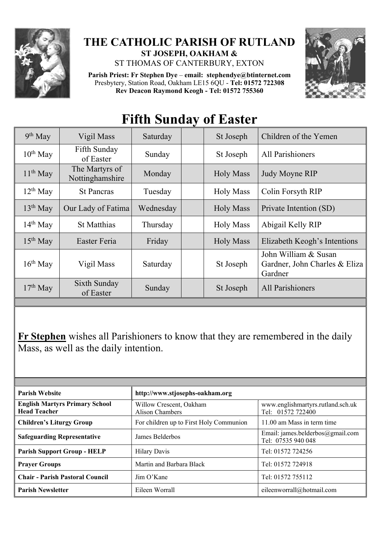

## **THE CATHOLIC PARISH OF RUTLAND ST JOSEPH, OAKHAM &**

ST THOMAS OF CANTERBURY, EXTON

**Parish Priest: Fr Stephen Dye** – **[email: stephendye@btinternet.com](mailto:email:%20%20stephendye@btinternet.com)** Presbytery, Station Road, Oakham LE15 6QU - **Tel: 01572 722308 Rev Deacon Raymond Keogh - Tel: 01572 755360**



## **Fifth Sunday of Easter**

| $9th$ May     | Vigil Mass                        | Saturday  | St Joseph        | Children of the Yemen                                            |
|---------------|-----------------------------------|-----------|------------------|------------------------------------------------------------------|
| $10^{th}$ May | Fifth Sunday<br>of Easter         | Sunday    | St Joseph        | <b>All Parishioners</b>                                          |
| $11th$ May    | The Martyrs of<br>Nottinghamshire | Monday    | <b>Holy Mass</b> | Judy Moyne RIP                                                   |
| $12^{th}$ May | <b>St Pancras</b>                 | Tuesday   | <b>Holy Mass</b> | Colin Forsyth RIP                                                |
| $13th$ May    | Our Lady of Fatima                | Wednesday | <b>Holy Mass</b> | Private Intention (SD)                                           |
| $14th$ May    | <b>St Matthias</b>                | Thursday  | <b>Holy Mass</b> | Abigail Kelly RIP                                                |
| $15th$ May    | Easter Feria                      | Friday    | <b>Holy Mass</b> | Elizabeth Keogh's Intentions                                     |
| $16th$ May    | Vigil Mass                        | Saturday  | St Joseph        | John William & Susan<br>Gardner, John Charles & Eliza<br>Gardner |
| $17th$ May    | Sixth Sunday<br>of Easter         | Sunday    | St Joseph        | All Parishioners                                                 |
|               |                                   |           |                  |                                                                  |

**Fr Stephen** wishes all Parishioners to know that they are remembered in the daily Mass, as well as the daily intention.

| <b>Parish Website</b>                                        | http://www.stjosephs-oakham.org            |                                                        |  |
|--------------------------------------------------------------|--------------------------------------------|--------------------------------------------------------|--|
| <b>English Martyrs Primary School</b><br><b>Head Teacher</b> | Willow Crescent, Oakham<br>Alison Chambers | www.englishmartyrs.rutland.sch.uk<br>Tel: 01572 722400 |  |
| <b>Children's Liturgy Group</b>                              | For children up to First Holy Communion    | 11.00 am Mass in term time                             |  |
| <b>Safeguarding Representative</b>                           | James Belderbos                            | Email: james.belderbos@gmail.com<br>Tel: 07535 940 048 |  |
| <b>Parish Support Group - HELP</b>                           | <b>Hilary Davis</b>                        | Tel: 01572 724256                                      |  |
| <b>Prayer Groups</b>                                         | Martin and Barbara Black                   | Tel: 01572 724918                                      |  |
| <b>Chair - Parish Pastoral Council</b>                       | Jim O'Kane                                 | Tel: 01572 755112                                      |  |
| <b>Parish Newsletter</b>                                     | Eileen Worrall                             | eileenworrall@hotmail.com                              |  |